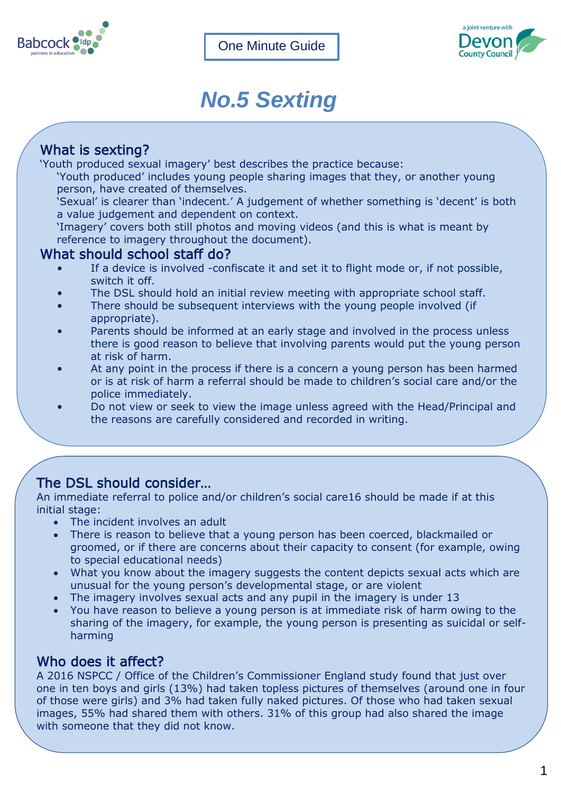



# *No.5 Sexting*

# What is sexting?

'Youth produced sexual imagery' best describes the practice because:

'Youth produced' includes young people sharing images that they, or another young person, have created of themselves.

'Sexual' is clearer than 'indecent.' A judgement of whether something is 'decent' is both a value judgement and dependent on context.

'Imagery' covers both still photos and moving videos (and this is what is meant by reference to imagery throughout the document).

#### What should school staff do?

- If a device is involved -confiscate it and set it to flight mode or, if not possible, switch it off.
- The DSL should hold an initial review meeting with appropriate school staff.
- There should be subsequent interviews with the young people involved (if appropriate).
- Parents should be informed at an early stage and involved in the process unless there is good reason to believe that involving parents would put the young person at risk of harm.
- At any point in the process if there is a concern a young person has been harmed or is at risk of harm a referral should be made to children's social care and/or the police immediately.
- Do not view or seek to view the image unless agreed with the Head/Principal and the reasons are carefully considered and recorded in writing.

## The DSL should consider…

An immediate referral to police and/or children's social care16 should be made if at this initial stage:

- The incident involves an adult
- There is reason to believe that a young person has been coerced, blackmailed or groomed, or if there are concerns about their capacity to consent (for example, owing to special educational needs)
- What you know about the imagery suggests the content depicts sexual acts which are unusual for the young person's developmental stage, or are violent
- The imagery involves sexual acts and any pupil in the imagery is under 13
- You have reason to believe a young person is at immediate risk of harm owing to the sharing of the imagery, for example, the young person is presenting as suicidal or selfharming

## Who does it affect?

A 2016 NSPCC / Office of the Children's Commissioner England study found that just over one in ten boys and girls (13%) had taken topless pictures of themselves (around one in four of those were girls) and 3% had taken fully naked pictures. Of those who had taken sexual images, 55% had shared them with others. 31% of this group had also shared the image with someone that they did not know.